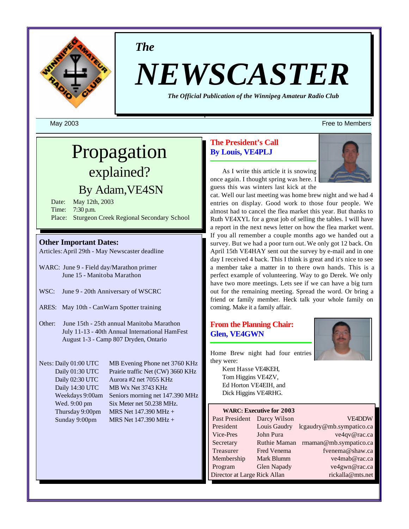

*The*

# *NEWSCASTER*

*The Official Publication of the Winnipeg Amateur Radio Club*

# Propagation explained?

# By Adam,VE4SN

Date: May 12th, 2003 Time: 7:30 p.m. Place: Sturgeon Creek Regional Secondary School

#### **Other Important Dates:**

Articles:April 29th - May Newscaster deadline

- WARC: June 9 Field day/Marathon primer June 15 - Manitoba Marathon
- WSC: June 9 20th Anniversary of WSCRC
- ARES: May 10th CanWarn Spotter training
- Other: June 15th 25th annual Manitoba Marathon July 11-13 - 40th Annual International HamFest August 1-3 - Camp 807 Dryden, Ontario

Nets: Daily 01:00 UTC MB Evening Phone net 3760 KHz Daily 01:30 UTC Prairie traffic Net (CW) 3660 KHz Daily 02:30 UTC Aurora #2 net 7055 KHz Daily 14:30 UTC MB Wx Net 3743 KHz Weekdays 9:00am Seniors morning net 147.390 MHz Wed. 9:00 pm Six Meter net 50.238 MHz. Thursday 9:00pm MRS Net  $147.390$  MHz + Sunday 9:00pm MRS Net 147.390 MHz +

#### **The President's Call By Louis, VE4PLJ**



As I write this article it is snowing once again. I thought spring was here. I guess this was winters last kick at the

cat. Well our last meeting was home brew night and we had 4 entries on display. Good work to those four people. We almost had to cancel the flea market this year. But thanks to Ruth VE4XYL for a great job of selling the tables. I will have a report in the next news letter on how the flea market went. If you all remember a couple months ago we handed out a survey. But we had a poor turn out. We only got 12 back. On April 15th VE4HAY sent out the survey by e-mail and in one day I received 4 back. This I think is great and it's nice to see a member take a matter in to there own hands. This is a perfect example of volunteering. Way to go Derek. We only have two more meetings. Lets see if we can have a big turn out for the remaining meeting. Spread the word. Or bring a friend or family member. Heck talk your whole family on coming. Make it a family affair.

#### **From the Planning Chair: Glen, VE4GWN**



Home Brew night had four entries they were:

> Kent Hasse VE4KEH, Tom Higgins VE4ZV, Ed Horton VE4EIH, and Dick Higgins VE4RHG.

#### **WARC: Executive for 2003**

| Past President               | Darcy Wilso        |
|------------------------------|--------------------|
| President                    | Louis Gaudry       |
| Vice-Pres                    | John Pura          |
| Secretary                    | <b>Ruthie Mama</b> |
| Treasurer                    | Fred Venema        |
| Membership                   | Mark Blumm         |
| Program                      | <b>Glen Napady</b> |
| Director at Large Rick Allan |                    |

lcgaudry@mb.sympatico.ca ve4qv@rac.ca an rmaman@mb.sympatico.ca fyenema@shaw.ca ve4mab@rac.ca ve4gwn@rac.ca rickalla@mts.net

VE4DDW

#### May 2003 Free to Members and the state of the state of the state of the state of the state of the state of the state of the state of the state of the state of the state of the state of the state of the state of the state o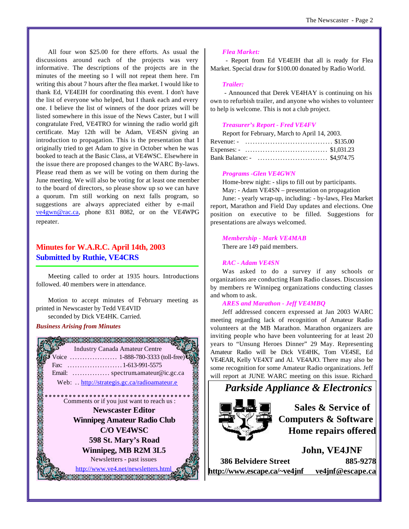All four won \$25.00 for there efforts. As usual the discussions around each of the projects was very informative. The descriptions of the projects are in the minutes of the meeting so I will not repeat them here. I'm writing this about 7 hours after the flea market. I would like to thank Ed, VE4EIH for coordinating this event. I don't have the list of everyone who helped, but I thank each and every one. I believe the list of winners of the door prizes will be listed somewhere in this issue of the News Caster, but I will congratulate Fred, VE4TRO for winning the radio world gift certificate. May 12th will be Adam, VE4SN giving an introduction to propagation. This is the presentation that I originally tried to get Adam to give in October when he was booked to teach at the Basic Class, at VE4WSC. Elsewhere in the issue there are proposed changes to the WARC By-laws. Please read them as we will be voting on them during the June meeting. We will also be voting for at least one member to the board of directors, so please show up so we can have a quorum. I'm still working on next falls program, so suggestions are always appreciated either by e-mail ve4gwn@rac.ca, phone 831 8082, or on the VE4WPG repeater.

### **Minutes for W.A.R.C. April 14th, 2003 Submitted by Ruthie, VE4CRS**

Meeting called to order at 1935 hours. Introductions followed. 40 members were in attendance.

Motion to accept minutes of February meeting as printed in Newscaster by Tedd VE4VID seconded by Dick VE4HK. Carried.

#### *Business Arising from Minutes*



#### *Flea Market:*

 - Report from Ed VE4EIH that all is ready for Flea Market. Special draw for \$100.00 donated by Radio World.

#### *Trailer:*

 - Announced that Derek VE4HAY is continuing on his own to refurbish trailer, and anyone who wishes to volunteer to help is welcome. This is not a club project.

#### *Treasurer's Report - Fred VE4FV*

| Report for February, March to April 14, 2003. |
|-----------------------------------------------|
|                                               |
|                                               |
|                                               |

#### *Programs -Glen VE4GWN*

Home-brew night: - slips to fill out by participants.

May: - Adam VE4SN – presentation on propagation June: - yearly wrap-up, including: - by-laws, Flea Market report, Marathon and Field Day updates and elections. One position on executive to be filled. Suggestions for presentations are always welcomed.

#### *Membership - Mark VE4MAB*

There are 149 paid members.

#### *RAC - Adam VE4SN*

Was asked to do a survey if any schools or organizations are conducting Ham Radio classes. Discussion by members re Winnipeg organizations conducting classes and whom to ask.

#### *ARES and Marathon - Jeff VE4MBQ*

Jeff addressed concern expressed at Jan 2003 WARC meeting regarding lack of recognition of Amateur Radio volunteers at the MB Marathon. Marathon organizers are inviting people who have been volunteering for at least 20 years to "Unsung Heroes Dinner" 29 May. Representing Amateur Radio will be Dick VE4HK, Tom VE4SE, Ed VE4EAR, Kelly VE4XT and Al. VE4AJO. There may also be some recognition for some Amateur Radio organizations. Jeff will report at JUNE WARC meeting on this issue. Richard

# *Parkside Appliance & Electronics*



**Sales & Service of Computers & Software Home repairs offered**

**John, VE4JNF 386 Belvidere Street 885-9278 <http://www.escape.ca/~ve4jnf> ve4jnf@escape.ca**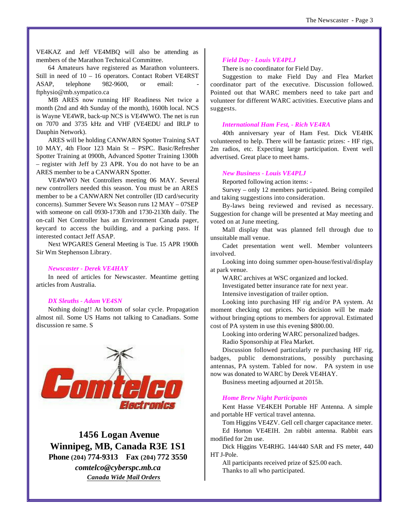VE4KAZ and Jeff VE4MBQ will also be attending as members of the Marathon Technical Committee.

64 Amateurs have registered as Marathon volunteers. Still in need of 10 – 16 operators. Contact Robert VE4RST ASAP, telephone 982-9600, or email: ftphysio@mb.sympatico.ca

MB ARES now running HF Readiness Net twice a month (2nd and 4th Sunday of the month), 1600h local. NCS is Wayne VE4WR, back-up NCS is VE4WWO. The net is run on 7070 and 3735 kHz and VHF (VE4EDU and IRLP to Dauphin Network).

ARES will be holding CANWARN Spotter Training SAT 10 MAY, 4th Floor 123 Main St – PSPC. Basic/Refresher Spotter Training at 0900h, Advanced Spotter Training 1300h – register with Jeff by 23 APR. You do not have to be an ARES member to be a CANWARN Spotter.

VE4WWO Net Controllers meeting 06 MAY. Several new controllers needed this season. You must be an ARES member to be a CANWARN Net controller (ID card/security concerns). Summer Severe Wx Season runs 12 MAY – 07SEP with someone on call 0930-1730h and 1730-2130h daily. The on-call Net Controller has an Environment Canada pager, keycard to access the building, and a parking pass. If interested contact Jeff ASAP.

Next WPGARES General Meeting is Tue. 15 APR 1900h Sir Wm Stephenson Library.

#### *Newscaster - Derek VE4HAY*

In need of articles for Newscaster. Meantime getting articles from Australia.

#### *DX Sleuths - Adam VE4SN*

Nothing doing!! At bottom of solar cycle. Propagation almost nil. Some US Hams not talking to Canadians. Some discussion re same. S



 **1456 Logan Avenue Winnipeg, MB, Canada R3E 1S1**

**Phone (204) 774-9313 Fax (204) 772 3550**

*comtelco@cyberspc.mb.ca Canada Wide Mail Orders*

#### *Field Day - Louis VE4PLJ*

There is no coordinator for Field Day.

Suggestion to make Field Day and Flea Market coordinator part of the executive. Discussion followed. Pointed out that WARC members need to take part and volunteer for different WARC activities. Executive plans and suggests.

#### *International Ham Fest, - Rich VE4RA*

40th anniversary year of Ham Fest. Dick VE4HK volunteered to help. There will be fantastic prizes: - HF rigs, 2m radios, etc. Expecting large participation. Event well advertised. Great place to meet hams.

#### *New Business - Louis VE4PLJ*

Reported following action items: -

Survey – only 12 members participated. Being compiled and taking suggestions into consideration.

By-laws being reviewed and revised as necessary. Suggestion for change will be presented at May meeting and voted on at June meeting.

Mall display that was planned fell through due to unsuitable mall venue.

Cadet presentation went well. Member volunteers involved.

Looking into doing summer open-house/festival/display at park venue.

WARC archives at WSC organized and locked.

Investigated better insurance rate for next year.

Intensive investigation of trailer option.

Looking into purchasing HF rig and/or PA system. At moment checking out prices. No decision will be made without bringing options to members for approval. Estimated cost of PA system in use this evening \$800.00.

Looking into ordering WARC personalized badges.

Radio Sponsorship at Flea Market.

Discussion followed particularly re purchasing HF rig, badges, public demonstrations, possibly purchasing antennas, PA system. Tabled for now. PA system in use now was donated to WARC by Derek VE4HAY.

Business meeting adjourned at 2015h.

#### *Home Brew Night Participants*

Kent Hasse VE4KEH Portable HF Antenna. A simple and portable HF vertical travel antenna.

Tom Higgins VE4ZV. Gell cell charger capacitance meter. Ed Horton VE4EIH. 2m rabbit antenna. Rabbit ears modified for 2m use.

Dick Higgins VE4RHG. 144/440 SAR and FS meter, 440 HT J-Pole.

All participants received prize of \$25.00 each. Thanks to all who participated.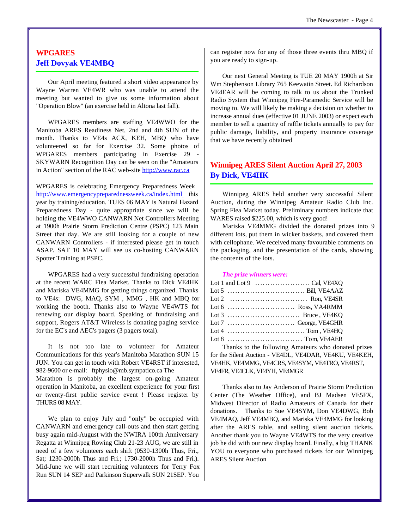#### **WPGARES Jeff Dovyak VE4MBQ**

Our April meeting featured a short video appearance by Wayne Warren VE4WR who was unable to attend the meeting but wanted to give us some information about "Operation Blow" (an exercise held in Altona last fall).

WPGARES members are staffing VE4WWO for the Manitoba ARES Readiness Net, 2nd and 4th SUN of the month. Thanks to VE4s ACX, KEH, MBQ who have volunteered so far for Exercise 32. Some photos of WPGARES members participating in Exercise 29 - SKYWARN Recognition Day can be seen on the "Amateurs in Action" section of the RAC web-site<http://www.rac.ca>

WPGARES is celebrating Emergency Preparedness Week <http://www.emergencypreparednessweek.ca/index.html> this year by training/education. TUES 06 MAY is Natural Hazard Preparedness Day - quite appropriate since we will be holding the VE4WWO CANWARN Net Controllers Meeting at 1900h Prairie Storm Prediction Centre (PSPC) 123 Main Street that day. We are still looking for a couple of new CANWARN Controllers - if interested please get in touch ASAP. SAT 10 MAY will see us co-hosting CANWARN Spotter Training at PSPC.

WPGARES had a very successful fundraising operation at the recent WARC Flea Market. Thanks to Dick VE4HK and Mariska VE4MMG for getting things organized. Thanks to VE4s: DWG, MAQ, SYM , MMG , HK and MBQ for working the booth. Thanks also to Wayne VE4WTS for renewing our display board. Speaking of fundraising and support, Rogers AT&T Wireless is donating paging service for the EC's and AEC's pagers (3 pagers total).

It is not too late to volunteer for Amateur Communications for this year's Manitoba Marathon SUN 15 JUN. You can get in touch with Robert VE4RST if interested, 982-9600 or e-mail: ftphysio@mb.sympatico.ca The

Marathon is probably the largest on-going Amateur operation in Manitoba, an excellent experience for your first or twenty-first public service event ! Please register by THURS 08 MAY.

We plan to enjoy July and "only" be occupied with CANWARN and emergency call-outs and then start getting busy again mid-August with the NWIRA 100th Anniversary Regatta at Winnipeg Rowing Club 21-23 AUG, we are still in need of a few volunteers each shift (0530-1300h Thus, Fri., Sat; 1230-2000h Thus and Fri.; 1730-2000h Thus and Fri.). Mid-June we will start recruiting volunteers for Terry Fox Run SUN 14 SEP and Parkinson Superwalk SUN 21SEP. You can register now for any of those three events thru MBQ if you are ready to sign-up.

Our next General Meeting is TUE 20 MAY 1900h at Sir Wm Stephenson Library 765 Keewatin Street. Ed Richardson VE4EAR will be coming to talk to us about the Trunked Radio System that Winnipeg Fire-Paramedic Service will be moving to. We will likely be making a decision on whether to increase annual dues (effective 01 JUNE 2003) or expect each member to sell a quantity of raffle tickets annually to pay for public damage, liability, and property insurance coverage that we have recently obtained

#### **Winnipeg ARES Silent Auction April 27, 2003 By Dick, VE4HK**

Winnipeg ARES held another very successful Silent Auction, during the Winnipeg Amateur Radio Club Inc. Spring Flea Market today. Preliminary numbers indicate that WARES raised \$225.00, which is very good!

Mariska VE4MMG divided the donated prizes into 9 different lots, put them in wicker baskets, and covered them with cellophane. We received many favourable comments on the packaging, and the presentation of the cards, showing the contents of the lots.

#### *The prize winners were:*

| $\mathbf{r}$ and $\mathbf{r}$ and $\mathbf{r}$ and $\mathbf{r}$ and $\mathbf{r}$ and $\mathbf{r}$ and $\mathbf{r}$ and $\mathbf{r}$ |
|-------------------------------------------------------------------------------------------------------------------------------------|

Thanks to the following Amateurs who donated prizes for the Silent Auction - VE4DL, VE4DAR, VE4KU, VE4KEH, VE4HK, VE4MMG, VE4CRS, VE4SYM, VE4TRO, VE4RST, VE4FR, VE4CLK, VE4YH, VE4MGR

Thanks also to Jay Anderson of Prairie Storm Prediction Center (The Weather Office), and BJ Madsen VE5FX, Midwest Director of Radio Amateurs of Canada for their donations. Thanks to Sue VE4SYM, Don VE4DWG, Bob VE4MAQ, Jeff VE4MBQ, and Mariska VE4MMG for looking after the ARES table, and selling silent auction tickets. Another thank you to Wayne VE4WTS for the very creative job he did with our new display board. Finally, a big THANK YOU to everyone who purchased tickets for our Winnipeg ARES Silent Auction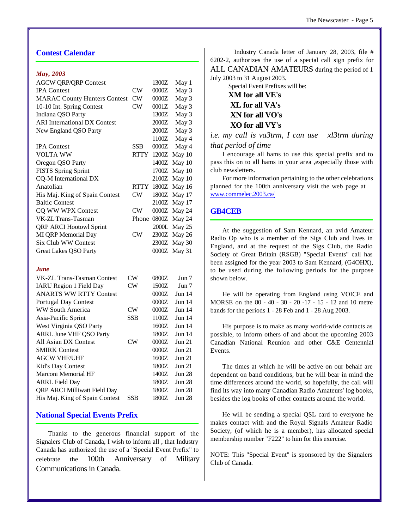#### **Contest Calendar**

#### *May, 2003*

| <b>AGCW QRP/QRP Contest</b>         |             | 1300Z   | May 1         |
|-------------------------------------|-------------|---------|---------------|
| <b>IPA</b> Contest                  | CW          | 0000Z   | May 3         |
| <b>MARAC County Hunters Contest</b> | CW          | 0000Z   | May 3         |
| 10-10 Int. Spring Contest           | CW          | 0001Z   | May 3         |
| Indiana QSO Party                   |             | 1300Z   | May 3         |
| <b>ARI</b> International DX Contest |             | 2000Z   | May 3         |
| New England QSO Party               |             | 2000Z   | May 3         |
|                                     |             | 1100Z   | May 4         |
| <b>IPA Contest</b>                  | SSB         | 0000Z   | May 4         |
| <b>VOLTA WW</b>                     | RTTY        | 1200Z   | May 10        |
| Oregon QSO Party                    |             | 1400Z   | May 10        |
| <b>FISTS Spring Sprint</b>          |             | 1700Z   | May 10        |
| CQ-M International DX               |             | 2100Z   | May 10        |
| Anatolian                           | <b>RTTY</b> | 1800Z   | May 16        |
| His Maj. King of Spain Contest      | CW          | 1800Z   | May 17        |
| <b>Baltic Contest</b>               |             | 2100Z   | May 17        |
| CQ WW WPX Contest                   | CW          | 0000Z   | May 24        |
| VK-ZL Trans-Tasman                  | Phone       | 0800Z   | May 24        |
| <b>QRP ARCI Hootowl Sprint</b>      |             | 2000L   | May 25        |
| MI QRP Memorial Day                 | CW          | 2300Z   | May 26        |
| <b>Six Club WW Contest</b>          |             | 2300Z   | May 30        |
| <b>Great Lakes QSO Party</b>        |             | $0000Z$ | May 31        |
|                                     |             |         |               |
| <b>June</b>                         |             |         |               |
| <b>VK-ZL Trans-Tasman Contest</b>   | CW          | 0800Z   | Jun 7         |
| <b>IARU Region 1 Field Day</b>      | CW          | 1500Z   | Jun 7         |
| <b>ANARTS WW RTTY Contest</b>       |             | 0000Z   | Jun $14$      |
| <b>Portugal Day Contest</b>         |             | 0000Z   | Jun 14        |
| <b>WW South America</b>             | CW          | 0000Z   | Jun $14$      |
| Asia-Pacific Sprint                 | SSB         | 1100Z   | Jun 14        |
| West Virginia QSO Party             |             | 1600Z   | Jun 14        |
| <b>ARRL June VHF QSO Party</b>      |             | 1800Z   | Jun 14        |
| All Asian DX Contest                | CW          | 0000Z   | <b>Jun 21</b> |
| <b>SMIRK Contest</b>                |             | 0000Z   | <b>Jun 21</b> |
| <b>AGCW VHF/UHF</b>                 |             | 1600Z   | <b>Jun 21</b> |
| Kid's Day Contest                   |             | 1800Z   | <b>Jun 21</b> |
| Marconi Memorial HF                 |             | 1400Z   | <b>Jun 28</b> |
| <b>ARRL Field Day</b>               |             | 1800Z   | <b>Jun 28</b> |
| <b>QRP ARCI Milliwatt Field Day</b> |             | 1800Z   | <b>Jun 28</b> |

#### **National Special Events Prefix**

Thanks to the generous financial support of the Signalers Club of Canada, I wish to inform all , that Industry Canada has authorized the use of a "Special Event Prefix" to celebrate the 100th Anniversary of Military Communications in Canada.

His Maj. King of Spain Contest SSB 1800Z Jun 28

 Industry Canada letter of January 28, 2003, file # 6202-2, authorizes the use of a special call sign prefix for ALL CANADIAN AMATEURS during the period of 1 July 2003 to 31 August 2003.

> Special Event Prefixes will be: **XM for all VE's XL for all VA's XN for all VO's XO for all VY's**

*i.e. my call is va3trm, I can use xl3trm during that period of time*

I encourage all hams to use this special prefix and to pass this on to all hams in your area ,especially those with club newsletters.

For more information pertaining to the other celebrations planned for the 100th anniversary visit the web page at www.commelec.2003.ca/

#### **GB4CEB**

At the suggestion of Sam Kennard, an avid Amateur Radio Op who is a member of the Sigs Club and lives in England, and at the request of the Sigs Club, the Radio Society of Great Britain (RSGB) "Special Events" call has been assigned for the year 2003 to Sam Kennard, (G4OHX), to be used during the following periods for the purpose shown below.

He will be operating from England using VOICE and MORSE on the 80 - 40 - 30 - 20 -17 - 15 - 12 and 10 metre bands for the periods 1 - 28 Feb and 1 - 28 Aug 2003.

His purpose is to make as many world-wide contacts as possible, to inform others of and about the upcoming 2003 Canadian National Reunion and other C&E Centennial Events.

The times at which he will be active on our behalf are dependent on band conditions, but he will bear in mind the time differences around the world, so hopefully, the call will find its way into many Canadian Radio Amateurs' log books, besides the log books of other contacts around the world.

He will be sending a special QSL card to everyone he makes contact with and the Royal Signals Amateur Radio Society, (of which he is a member), has allocated special membership number "F222" to him for this exercise.

NOTE: This "Special Event" is sponsored by the Signalers Club of Canada.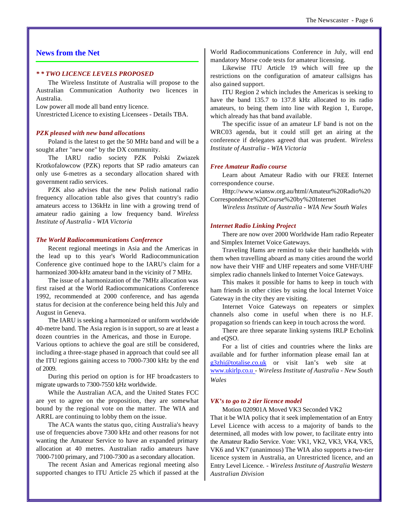#### **News from the Net**

#### *\* \* TWO LICENCE LEVELS PROPOSED*

The Wireless Institute of Australia will propose to the Australian Communication Authority two licences in Australia.

Low power all mode all band entry licence.

Unrestricted Licence to existing Licensees - Details TBA.

#### *PZK pleased with new band allocations*

Poland is the latest to get the 50 MHz band and will be a sought after "new one" by the DX community.

The IARU radio society PZK Polski Zwiazek Krotkofalowcow (PZK) reports that SP radio amateurs can only use 6-metres as a secondary allocation shared with government radio services.

PZK also advises that the new Polish national radio frequency allocation table also gives that country's radio amateurs access to 136kHz in line with a growing trend of amateur radio gaining a low frequency band. *Wireless Institute of Australia - WIA Victoria*

#### *The World Radiocommunications Conference*

Recent regional meetings in Asia and the Americas in the lead up to this year's World Radiocommunication Conference give continued hope to the IARU's claim for a harmonized 300-kHz amateur band in the vicinity of 7 MHz.

The issue of a harmonization of the 7MHz allocation was first raised at the World Radiocommunications Conference 1992, recommended at 2000 conference, and has agenda status for decision at the conference being held this July and August in Geneva.

The IARU is seeking a harmonized or uniform worldwide 40-metre band. The Asia region is in support, so are at least a dozen countries in the Americas, and those in Europe.

Various options to achieve the goal are still be considered, including a three-stage phased in approach that could see all the ITU regions gaining access to 7000-7300 kHz by the end of 2009.

During this period on option is for HF broadcasters to migrate upwards to 7300-7550 kHz worldwide.

While the Australian ACA, and the United States FCC are yet to agree on the proposition, they are somewhat bound by the regional vote on the matter. The WIA and ARRL are continuing to lobby them on the issue.

The ACA wants the status quo, citing Australia's heavy use of frequencies above 7300 kHz and other reasons for not wanting the Amateur Service to have an expanded primary allocation at 40 metres. Australian radio amateurs have 7000-7100 primary, and 7100-7300 as a secondary allocation.

The recent Asian and Americas regional meeting also supported changes to ITU Article 25 which if passed at the World Radiocommunications Conference in July, will end mandatory Morse code tests for amateur licensing.

Likewise ITU Article 19 which will free up the restrictions on the configuration of amateur callsigns has also gained support.

ITU Region 2 which includes the Americas is seeking to have the band 135.7 to 137.8 kHz allocated to its radio amateurs, to being them into line with Region 1, Europe, which already has that band available.

The specific issue of an amateur LF band is not on the WRC03 agenda, but it could still get an airing at the conference if delegates agreed that was prudent. *Wireless Institute of Australia - WIA Victoria*

#### *Free Amateur Radio course*

Learn about Amateur Radio with our FREE Internet correspondence course.

<Http://www.wiansw.org.au/html/Amateur%20Radio%20> Correspondence%20Course%20by%20Internet

*Wireless Institute of Australia - WIA New South Wales*

#### *Internet Radio Linking Project*

There are now over 2000 Worldwide Ham radio Repeater and Simplex Internet Voice Gateways.

Traveling Hams are remind to take their handhelds with them when travelling aboard as many cities around the world now have their VHF and UHF repeaters and some VHF/UHF simplex radio channels linked to Internet Voice Gateways.

This makes it possible for hams to keep in touch with ham friends in other cities by using the local Internet Voice Gateway in the city they are visiting.

Internet Voice Gateways on repeaters or simplex channels also come in useful when there is no H.F. propagation so friends can keep in touch across the word.

There are three separate linking systems IRLP Echolink and eQSO.

For a list of cities and countries where the links are available and for further information please email Ian at g3zhi@totalise.co.uk or visit Ian's web site at www.ukirlp.co.u *- Wireless Institute of Australia - New South Wales*

#### *VK's to go to 2 tier licence model*

Motion 020901A Moved VK3 Seconded VK2

That it be WIA policy that it seek implementation of an Entry Level Licence with access to a majority of bands to the determined, all modes with low power, to facilitate entry into the Amateur Radio Service. Vote: VK1, VK2, VK3, VK4, VK5, VK6 and VK7 (unanimous) The WIA also supports a two-tier licence system in Australia, an Unrestricted licence, and an Entry Level Licence. *- Wireless Institute of Australia Western Australian Division*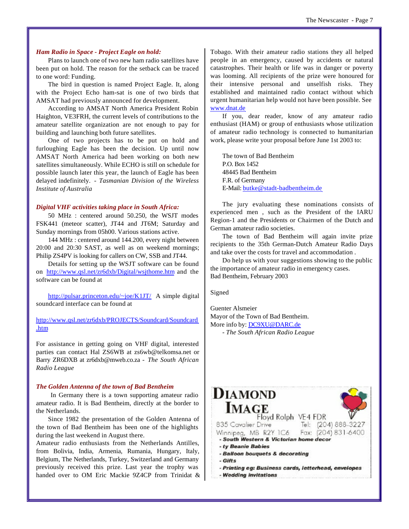#### *Ham Radio in Space - Project Eagle on hold:*

Plans to launch one of two new ham radio satellites have been put on hold. The reason for the setback can be traced to one word: Funding.

The bird in question is named Project Eagle. It, along with the Project Echo ham-sat is one of two birds that AMSAT had previously announced for development.

According to AMSAT North America President Robin Haighton, VE3FRH, the current levels of contributions to the amateur satellite organization are not enough to pay for building and launching both future satellites.

One of two projects has to be put on hold and furloughing Eagle has been the decision. Up until now AMSAT North America had been working on both new satellites simultaneously. While ECHO is still on schedule for possible launch later this year, the launch of Eagle has been delayed indefinitely. *- Tasmanian Division of the Wireless Institute of Australia*

#### *Digital VHF activities taking place in South Africa:*

50 MHz : centered around 50.250, the WSJT modes FSK441 (meteor scatter), JT44 and JT6M; Saturday and Sunday mornings from 05h00. Various stations active.

144 MHz : centered around 144.200, every night between 20:00 and 20:30 SAST, as well as on weekend mornings; Philip ZS4PV is looking for callers on CW, SSB and JT44.

Details for setting up the WSJT software can be found on <http://www.qsl.net/zr6dxb/Digital/wsjthome.htm>and the software can be found at

<http://pulsar.princeton.edu/~joe/K1JT/> A simple digital soundcard interface can be found at

<http://www.qsl.net/zr6dxb/PROJECTS/Soundcard/Soundcard> .htm

For assistance in getting going on VHF digital, interested parties can contact Hal ZS6WB at zs6wb@telkomsa.net or Barry ZR6DXB at zr6dxb@mweb.co.za - *The South African Radio League*

#### *The Golden Antenna of the town of Bad Bentheim*

 In Germany there is a town supporting amateur radio amateur radio. It is Bad Bentheim, directly at the border to the Netherlands.

Since 1982 the presentation of the Golden Antenna of the town of Bad Bentheim has been one of the highlights during the last weekend in August there.

Amateur radio enthusiasts from the Netherlands Antilles, from Bolivia, India, Armenia, Rumania, Hungary, Italy, Belgium, The Netherlands, Turkey, Switzerland and Germany previously received this prize. Last year the trophy was handed over to OM Eric Mackie 9Z4CP from Trinidat & Tobago. With their amateur radio stations they all helped people in an emergency, caused by accidents or natural catastrophes. Their health or life was in danger or poverty was looming. All recipients of the prize were honoured for their intensive personal and unselfish risks. They established and maintained radio contact without which urgent humanitarian help would not have been possible. See www.dnat.de

If you, dear reader, know of any amateur radio enthusiast (HAM) or group of enthusiasts whose utilization of amateur radio technology is connected to humanitarian work, please write your proposal before June 1st 2003 to:

The town of Bad Bentheim P.O. Box 1452 48445 Bad Bentheim F.R. of Germany E-Mail: butke@stadt-badbentheim.de

The jury evaluating these nominations consists of experienced men , such as the President of the IARU Region-1 and the Presidents or Chairmen of the Dutch and German amateur radio societies.

The town of Bad Bentheim will again invite prize recipients to the 35th German-Dutch Amateur Radio Days and take over the costs for travel and accommodation .

Do help us with your suggestions showing to the public the importance of amateur radio in emergency cases. Bad Bentheim, February 2003

Signed

Guenter Alsmeier Mayor of the Town of Bad Bentheim. More info by: DC9XU@DARC.de

*- The South African Radio League*

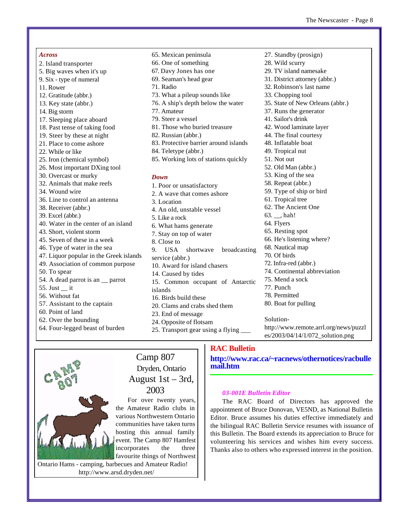- *Across*  2. Island transporter 5. Big waves when it's up 9. Six - type of numeral 11. Rower 12. Gratitude (abbr.) 13. Key state (abbr.) 14. Big storm 17. Sleeping place aboard 18. Past tense of taking food 19. Steer by these at night 21. Place to come ashore 22. While or like 25. Iron (chemical symbol) 26. Most important DXing tool 30. Overcast or murky 32. Animals that make reefs 34. Wound wire 36. Line to control an antenna 38. Receiver (abbr.) 39. Excel (abbr.) 40. Water in the center of an island 43. Short, violent storm 45. Seven of these in a week 46. Type of water in the sea 47. Liquor popular in the Greek islands 49. Association of common purpose 50. To spear 54. A dead parrot is an \_\_ parrot 55. Just \_\_ it 56. Without fat 57. Assistant to the captain 60. Point of land 62. Over the bounding 64. Four-legged beast of burden
	- 66. One of something 67. Davy Jones has one 69. Seaman's head gear 71. Radio 73. What a pileup sounds like 76. A ship's depth below the water 77. Amateur 79. Steer a vessel 81. Those who buried treasure 82. Russian (abbr.) 83. Protective barrier around islands 84. Teletype (abbr.) 85. Working lots of stations quickly *Down*  1. Poor or unsatisfactory 2. A wave that comes ashore 3. Location

65. Mexican peninsula

- 4. An old, unstable vessel 5. Like a rock 6. What hams generate 7. Stay on top of water 8. Close to 9. USA shortwave broadcasting service (abbr.) 10. Award for island chasers 14. Caused by tides
- 15. Common occupant of Antarctic islands
- 16. Birds build these
- 20. Clams and crabs shed them
- 23. End of message
- 24. Opposite of flotsam
- 25. Transport gear using a flying \_\_\_
	- **RAC Bulletin**

**<http://www.rac.ca/~racnews/othernotices/racbulle> mail.htm**

#### *03-001E Bulletin Editor*

The RAC Board of Directors has approved the appointment of Bruce Donovan, VE5ND, as National Bulletin Editor. Bruce assumes his duties effective immediately and the bilingual RAC Bulletin Service resumes with issuance of this Bulletin. The Board extends its appreciation to Bruce for volunteering his services and wishes him every success. Thanks also to others who expressed interest in the position.

#### 27. Standby (prosign)

- 28. Wild scurry
- 29. TV island namesake
- 31. District attorney (abbr.)
- 32. Robinson's last name
- 33. Chopping tool
- 35. State of New Orleans (abbr.)
- 37. Runs the generator
- 41. Sailor's drink
- 42. Wood laminate layer
- 44. The final courtesy
- 48. Inflatable boat
- 49. Tropical nut
- 51. Not out
- 52. Old Man (abbr.) 53. King of the sea
- 58. Repeat (abbr.)
- 59. Type of ship or bird
- 61. Tropical tree
- 62. The Ancient One
- $63.$ , hah!
- 64. Flyers
- 65. Resting spot
- 66. He's listening where?
- 68. Nautical map
- 70. Of birds
- 72. Infra-red (abbr.)
- 74. Continental abbreviation
- 75. Mend a sock
- 77. Punch
- 78. Permitted
- 80. Boat for pulling
- Solution-

[http://www.remote.arrl.org/news/puzzl](Solution-http://www.remote.arrl.org/news/puzzl) es/2003/04/14/1/072\_solution.png



# Camp 807 Dryden, Ontario August 1st – 3rd, 2003

For over twenty years, the Amateur Radio clubs in various Northwestern Ontario communities have taken turns hosting this annual family event. The Camp 807 Hamfest incorporates the three favourite things of Northwest

Ontario Hams - camping, barbecues and Amateur Radio! <http://www.arsd.dryden.net/>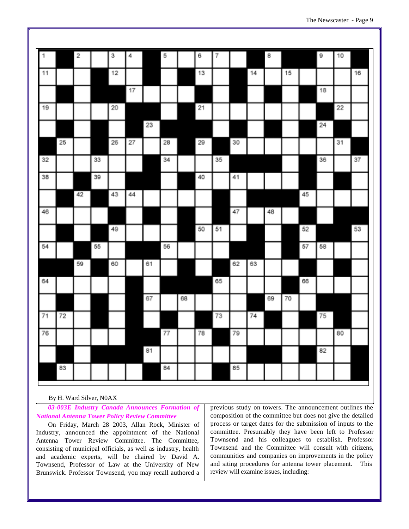| $\overline{\Gamma}$ |    | $\overline{\mathbf{2}}$ |    | 3  | 4  |    | 5  |    | 6  | 7  |    |    | 8  |    |    | 9  | 10 |    |
|---------------------|----|-------------------------|----|----|----|----|----|----|----|----|----|----|----|----|----|----|----|----|
|                     |    |                         |    |    |    |    |    |    |    |    |    |    |    |    |    |    |    |    |
| 11                  |    |                         |    | 12 |    |    |    |    | 13 |    |    | 14 |    | 15 |    |    |    | 16 |
|                     |    |                         |    |    | 17 |    |    |    |    |    |    |    |    |    |    | 18 |    |    |
| 19                  |    |                         |    | 20 |    |    |    |    | 21 |    |    |    |    |    |    |    | 22 |    |
|                     |    |                         |    |    |    | 23 |    |    |    |    |    |    |    |    |    | 24 |    |    |
|                     | 25 |                         |    | 26 | 27 |    | 28 |    | 29 |    | 30 |    |    |    |    |    | 31 |    |
| 32                  |    |                         | 33 |    |    |    | 34 |    |    | 35 |    |    |    |    |    | 36 |    | 37 |
| 38                  |    |                         | 39 |    |    |    |    |    | 40 |    | 41 |    |    |    |    |    |    |    |
|                     |    | 42                      |    | 43 | 44 |    |    |    |    |    |    |    |    |    | 45 |    |    |    |
| 46                  |    |                         |    |    |    |    |    |    |    |    | 47 |    | 48 |    |    |    |    |    |
|                     |    |                         |    | 49 |    |    |    |    | 50 | 51 |    |    |    |    | 52 |    |    | 53 |
| 54                  |    |                         | 55 |    |    |    | 56 |    |    |    |    |    |    |    | 57 | 58 |    |    |
|                     |    | 59                      |    | 60 |    | 61 |    |    |    |    | 62 | 63 |    |    |    |    |    |    |
| 64                  |    |                         |    |    |    |    |    |    |    | 65 |    |    |    |    | 66 |    |    |    |
|                     |    |                         |    |    |    | 67 |    | 68 |    |    |    |    | 69 | 70 |    |    |    |    |
| 71                  | 72 |                         |    |    |    |    |    |    |    | 73 |    | 74 |    |    |    | 75 |    |    |
| 76                  |    |                         |    |    |    |    | 77 |    | 78 |    | 79 |    |    |    |    |    | 80 |    |
|                     |    |                         |    |    |    | 81 |    |    |    |    |    |    |    |    |    | 82 |    |    |
|                     | 83 |                         |    |    |    |    | 84 |    |    |    | 85 |    |    |    |    |    |    |    |

#### By H. Ward Silver, N0AX

*03-003E Industry Canada Announces Formation of National Antenna Tower Policy Review Committee*

On Friday, March 28 2003, Allan Rock, Minister of Industry, announced the appointment of the National Antenna Tower Review Committee. The Committee, consisting of municipal officials, as well as industry, health and academic experts, will be chaired by David A. Townsend, Professor of Law at the University of New Brunswick. Professor Townsend, you may recall authored a previous study on towers. The announcement outlines the composition of the committee but does not give the detailed process or target dates for the submission of inputs to the committee. Presumably they have been left to Professor Townsend and his colleagues to establish. Professor Townsend and the Committee will consult with citizens, communities and companies on improvements in the policy and siting procedures for antenna tower placement. This review will examine issues, including: